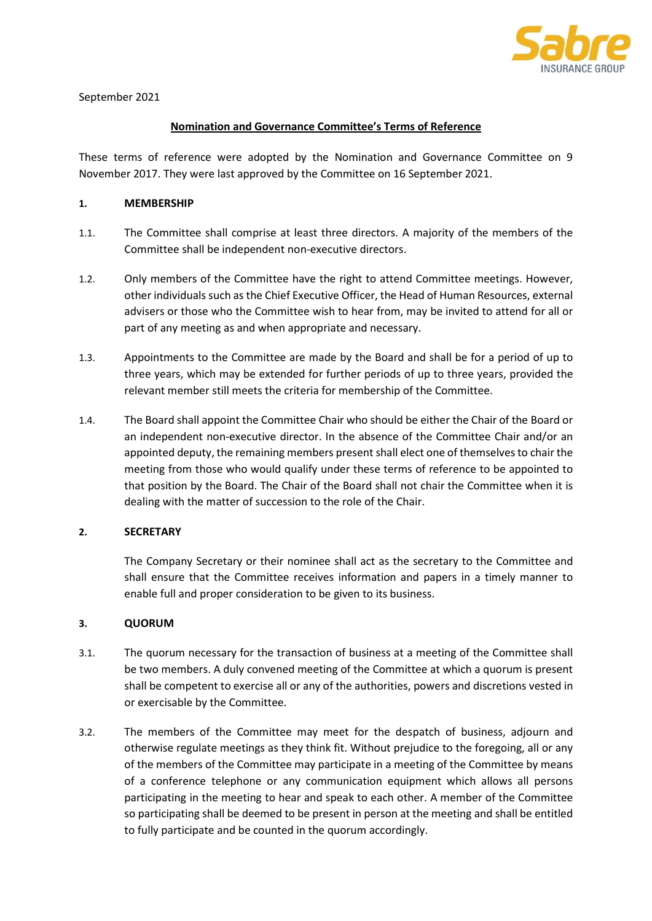

## Nomination and Governance Committee's Terms of Reference

These terms of reference were adopted by the Nomination and Governance Committee on 9 November 2017. They were last approved by the Committee on 16 September 2021.

### 1. MEMBERSHIP

- 1.1. The Committee shall comprise at least three directors. A majority of the members of the Committee shall be independent non-executive directors.
- 1.2. Only members of the Committee have the right to attend Committee meetings. However, other individuals such as the Chief Executive Officer, the Head of Human Resources, external advisers or those who the Committee wish to hear from, may be invited to attend for all or part of any meeting as and when appropriate and necessary.
- 1.3. Appointments to the Committee are made by the Board and shall be for a period of up to three years, which may be extended for further periods of up to three years, provided the relevant member still meets the criteria for membership of the Committee.
- 1.4. The Board shall appoint the Committee Chair who should be either the Chair of the Board or an independent non-executive director. In the absence of the Committee Chair and/or an appointed deputy, the remaining members present shall elect one of themselves to chair the meeting from those who would qualify under these terms of reference to be appointed to that position by the Board. The Chair of the Board shall not chair the Committee when it is dealing with the matter of succession to the role of the Chair.

### 2. SECRETARY

The Company Secretary or their nominee shall act as the secretary to the Committee and shall ensure that the Committee receives information and papers in a timely manner to enable full and proper consideration to be given to its business.

### 3. QUORUM

- 3.1. The quorum necessary for the transaction of business at a meeting of the Committee shall be two members. A duly convened meeting of the Committee at which a quorum is present shall be competent to exercise all or any of the authorities, powers and discretions vested in or exercisable by the Committee.
- 3.2. The members of the Committee may meet for the despatch of business, adjourn and otherwise regulate meetings as they think fit. Without prejudice to the foregoing, all or any of the members of the Committee may participate in a meeting of the Committee by means of a conference telephone or any communication equipment which allows all persons participating in the meeting to hear and speak to each other. A member of the Committee so participating shall be deemed to be present in person at the meeting and shall be entitled to fully participate and be counted in the quorum accordingly.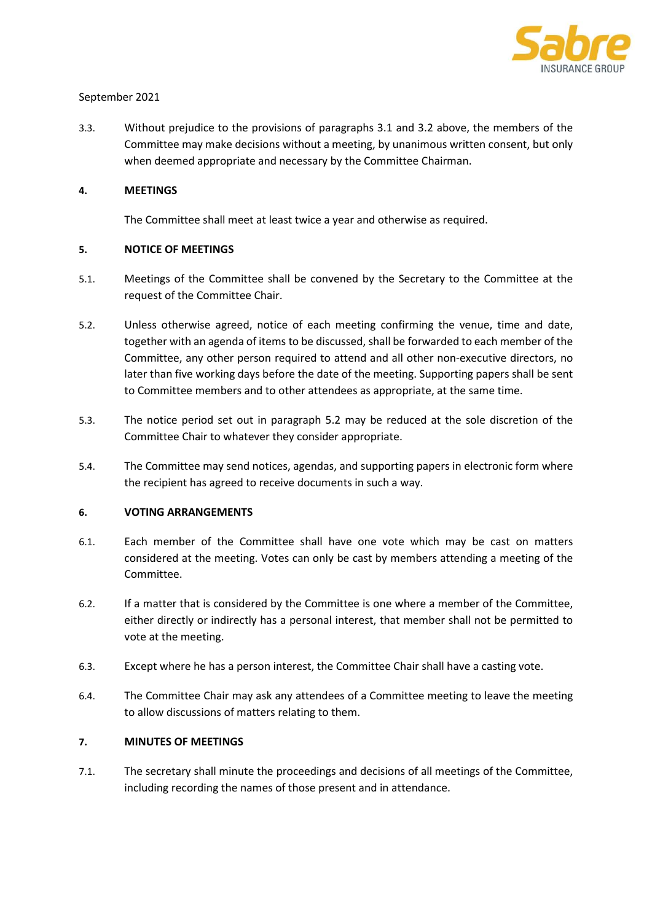

3.3. Without prejudice to the provisions of paragraphs 3.1 and 3.2 above, the members of the Committee may make decisions without a meeting, by unanimous written consent, but only when deemed appropriate and necessary by the Committee Chairman.

### 4. MEETINGS

The Committee shall meet at least twice a year and otherwise as required.

#### 5. NOTICE OF MEETINGS

- 5.1. Meetings of the Committee shall be convened by the Secretary to the Committee at the request of the Committee Chair.
- 5.2. Unless otherwise agreed, notice of each meeting confirming the venue, time and date, together with an agenda of items to be discussed, shall be forwarded to each member of the Committee, any other person required to attend and all other non-executive directors, no later than five working days before the date of the meeting. Supporting papers shall be sent to Committee members and to other attendees as appropriate, at the same time.
- 5.3. The notice period set out in paragraph 5.2 may be reduced at the sole discretion of the Committee Chair to whatever they consider appropriate.
- 5.4. The Committee may send notices, agendas, and supporting papers in electronic form where the recipient has agreed to receive documents in such a way.

### 6. VOTING ARRANGEMENTS

- 6.1. Each member of the Committee shall have one vote which may be cast on matters considered at the meeting. Votes can only be cast by members attending a meeting of the Committee.
- 6.2. If a matter that is considered by the Committee is one where a member of the Committee, either directly or indirectly has a personal interest, that member shall not be permitted to vote at the meeting.
- 6.3. Except where he has a person interest, the Committee Chair shall have a casting vote.
- 6.4. The Committee Chair may ask any attendees of a Committee meeting to leave the meeting to allow discussions of matters relating to them.

# 7. MINUTES OF MEETINGS

7.1. The secretary shall minute the proceedings and decisions of all meetings of the Committee, including recording the names of those present and in attendance.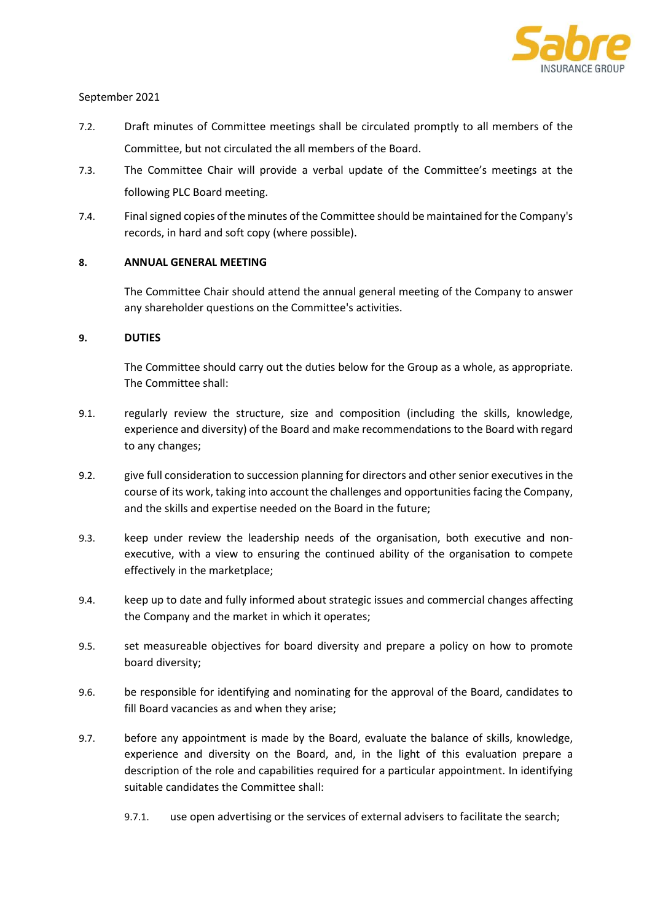

- 7.2. Draft minutes of Committee meetings shall be circulated promptly to all members of the Committee, but not circulated the all members of the Board.
- 7.3. The Committee Chair will provide a verbal update of the Committee's meetings at the following PLC Board meeting.
- 7.4. Final signed copies of the minutes of the Committee should be maintained for the Company's records, in hard and soft copy (where possible).

# 8. ANNUAL GENERAL MEETING

The Committee Chair should attend the annual general meeting of the Company to answer any shareholder questions on the Committee's activities.

# 9. DUTIES

The Committee should carry out the duties below for the Group as a whole, as appropriate. The Committee shall:

- 9.1. regularly review the structure, size and composition (including the skills, knowledge, experience and diversity) of the Board and make recommendations to the Board with regard to any changes;
- 9.2. give full consideration to succession planning for directors and other senior executives in the course of its work, taking into account the challenges and opportunities facing the Company, and the skills and expertise needed on the Board in the future;
- 9.3. keep under review the leadership needs of the organisation, both executive and nonexecutive, with a view to ensuring the continued ability of the organisation to compete effectively in the marketplace;
- 9.4. keep up to date and fully informed about strategic issues and commercial changes affecting the Company and the market in which it operates;
- 9.5. set measureable objectives for board diversity and prepare a policy on how to promote board diversity;
- 9.6. be responsible for identifying and nominating for the approval of the Board, candidates to fill Board vacancies as and when they arise;
- 9.7. before any appointment is made by the Board, evaluate the balance of skills, knowledge, experience and diversity on the Board, and, in the light of this evaluation prepare a description of the role and capabilities required for a particular appointment. In identifying suitable candidates the Committee shall:
	- 9.7.1. use open advertising or the services of external advisers to facilitate the search;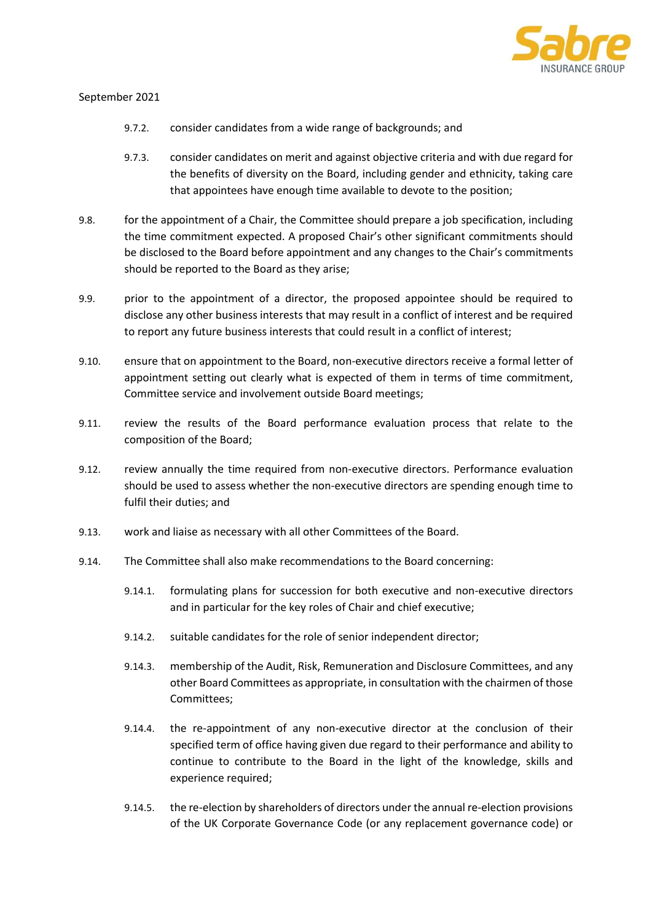

- 9.7.2. consider candidates from a wide range of backgrounds; and
- 9.7.3. consider candidates on merit and against objective criteria and with due regard for the benefits of diversity on the Board, including gender and ethnicity, taking care that appointees have enough time available to devote to the position;
- 9.8. for the appointment of a Chair, the Committee should prepare a job specification, including the time commitment expected. A proposed Chair's other significant commitments should be disclosed to the Board before appointment and any changes to the Chair's commitments should be reported to the Board as they arise;
- 9.9. prior to the appointment of a director, the proposed appointee should be required to disclose any other business interests that may result in a conflict of interest and be required to report any future business interests that could result in a conflict of interest;
- 9.10. ensure that on appointment to the Board, non-executive directors receive a formal letter of appointment setting out clearly what is expected of them in terms of time commitment, Committee service and involvement outside Board meetings;
- 9.11. review the results of the Board performance evaluation process that relate to the composition of the Board;
- 9.12. review annually the time required from non-executive directors. Performance evaluation should be used to assess whether the non-executive directors are spending enough time to fulfil their duties; and
- 9.13. work and liaise as necessary with all other Committees of the Board.
- 9.14. The Committee shall also make recommendations to the Board concerning:
	- 9.14.1. formulating plans for succession for both executive and non-executive directors and in particular for the key roles of Chair and chief executive;
	- 9.14.2. suitable candidates for the role of senior independent director;
	- 9.14.3. membership of the Audit, Risk, Remuneration and Disclosure Committees, and any other Board Committees as appropriate, in consultation with the chairmen of those Committees;
	- 9.14.4. the re-appointment of any non-executive director at the conclusion of their specified term of office having given due regard to their performance and ability to continue to contribute to the Board in the light of the knowledge, skills and experience required;
	- 9.14.5. the re-election by shareholders of directors under the annual re-election provisions of the UK Corporate Governance Code (or any replacement governance code) or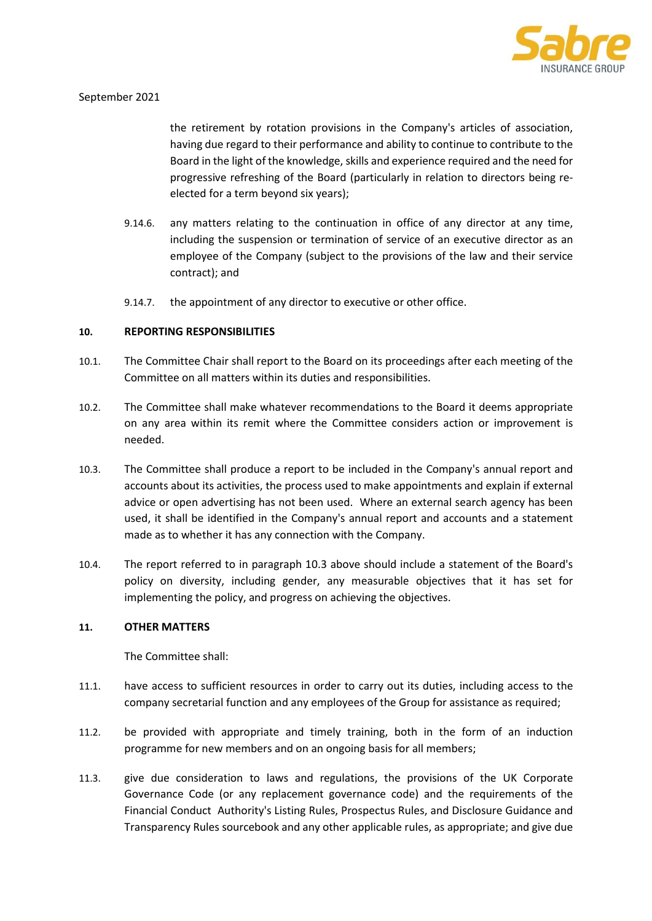

the retirement by rotation provisions in the Company's articles of association, having due regard to their performance and ability to continue to contribute to the Board in the light of the knowledge, skills and experience required and the need for progressive refreshing of the Board (particularly in relation to directors being reelected for a term beyond six years);

- 9.14.6. any matters relating to the continuation in office of any director at any time, including the suspension or termination of service of an executive director as an employee of the Company (subject to the provisions of the law and their service contract); and
- 9.14.7. the appointment of any director to executive or other office.

### 10. REPORTING RESPONSIBILITIES

- 10.1. The Committee Chair shall report to the Board on its proceedings after each meeting of the Committee on all matters within its duties and responsibilities.
- 10.2. The Committee shall make whatever recommendations to the Board it deems appropriate on any area within its remit where the Committee considers action or improvement is needed.
- 10.3. The Committee shall produce a report to be included in the Company's annual report and accounts about its activities, the process used to make appointments and explain if external advice or open advertising has not been used. Where an external search agency has been used, it shall be identified in the Company's annual report and accounts and a statement made as to whether it has any connection with the Company.
- 10.4. The report referred to in paragraph 10.3 above should include a statement of the Board's policy on diversity, including gender, any measurable objectives that it has set for implementing the policy, and progress on achieving the objectives.

### 11. OTHER MATTERS

The Committee shall:

- 11.1. have access to sufficient resources in order to carry out its duties, including access to the company secretarial function and any employees of the Group for assistance as required;
- 11.2. be provided with appropriate and timely training, both in the form of an induction programme for new members and on an ongoing basis for all members;
- 11.3. give due consideration to laws and regulations, the provisions of the UK Corporate Governance Code (or any replacement governance code) and the requirements of the Financial Conduct Authority's Listing Rules, Prospectus Rules, and Disclosure Guidance and Transparency Rules sourcebook and any other applicable rules, as appropriate; and give due